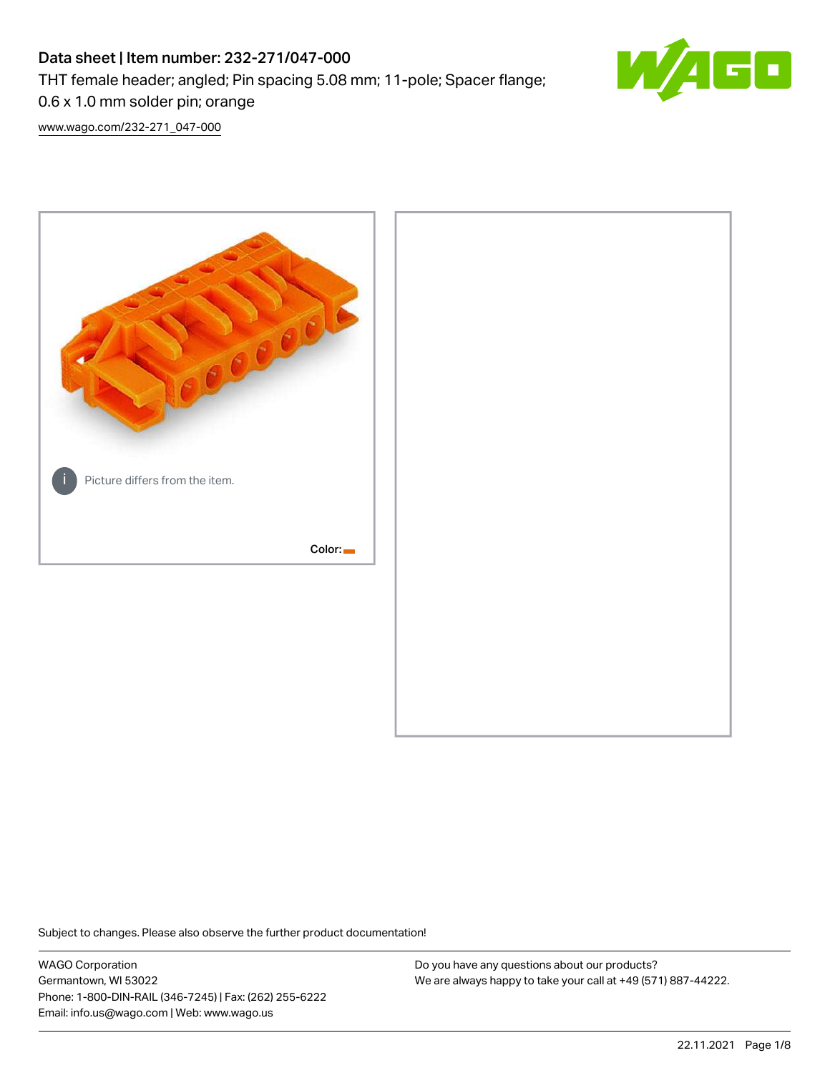# Data sheet | Item number: 232-271/047-000 THT female header; angled; Pin spacing 5.08 mm; 11-pole; Spacer flange; 0.6 x 1.0 mm solder pin; orange



[www.wago.com/232-271\\_047-000](http://www.wago.com/232-271_047-000)



Subject to changes. Please also observe the further product documentation!

WAGO Corporation Germantown, WI 53022 Phone: 1-800-DIN-RAIL (346-7245) | Fax: (262) 255-6222 Email: info.us@wago.com | Web: www.wago.us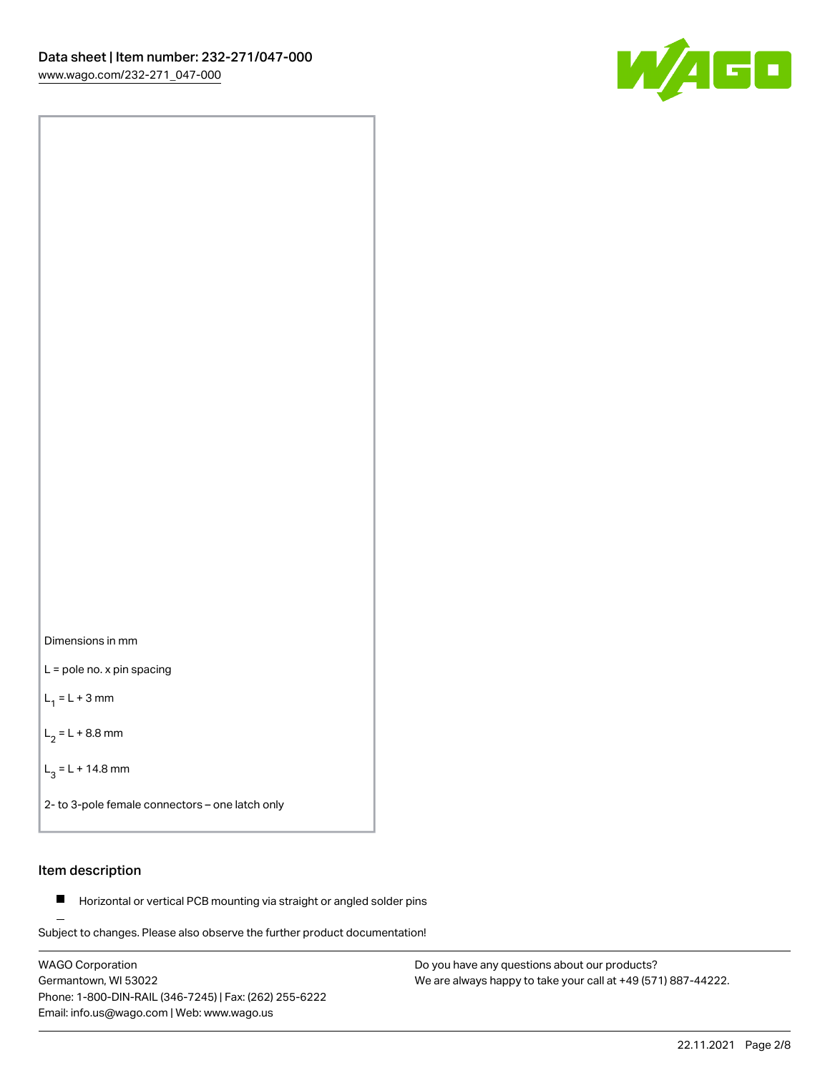



L = pole no. x pin spacing

 $L_1 = L + 3$  mm

 $L_2 = L + 8.8$  mm

 $L_3 = L + 14.8$  mm

2- to 3-pole female connectors – one latch only

# Item description

**Horizontal or vertical PCB mounting via straight or angled solder pins** 

Subject to changes. Please also observe the further product documentation! For board-to-board and board-to-wire connections

WAGO Corporation Germantown, WI 53022 Phone: 1-800-DIN-RAIL (346-7245) | Fax: (262) 255-6222 Email: info.us@wago.com | Web: www.wago.us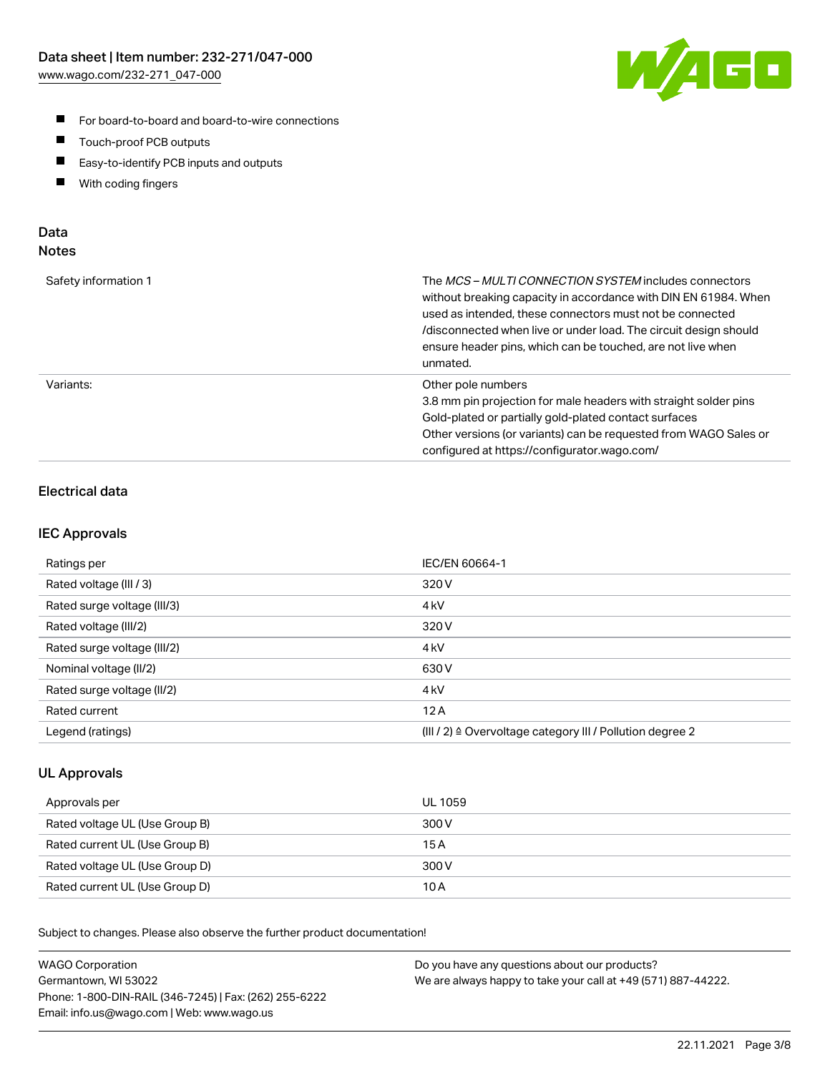

- For board-to-board and board-to-wire connections
- $\blacksquare$ Touch-proof PCB outputs
- $\blacksquare$ Easy-to-identify PCB inputs and outputs
- $\blacksquare$ With coding fingers

# Data **Notes**

| Safety information 1 | The <i>MCS – MULTI CONNECTION SYSTEM</i> includes connectors<br>without breaking capacity in accordance with DIN EN 61984. When<br>used as intended, these connectors must not be connected<br>/disconnected when live or under load. The circuit design should<br>ensure header pins, which can be touched, are not live when<br>unmated. |
|----------------------|--------------------------------------------------------------------------------------------------------------------------------------------------------------------------------------------------------------------------------------------------------------------------------------------------------------------------------------------|
| Variants:            | Other pole numbers<br>3.8 mm pin projection for male headers with straight solder pins<br>Gold-plated or partially gold-plated contact surfaces<br>Other versions (or variants) can be requested from WAGO Sales or<br>configured at https://configurator.wago.com/                                                                        |

# Electrical data

# IEC Approvals

| Ratings per                 | IEC/EN 60664-1                                                        |
|-----------------------------|-----------------------------------------------------------------------|
| Rated voltage (III / 3)     | 320 V                                                                 |
| Rated surge voltage (III/3) | 4 <sub>k</sub> V                                                      |
| Rated voltage (III/2)       | 320 V                                                                 |
| Rated surge voltage (III/2) | 4 <sub>k</sub> V                                                      |
| Nominal voltage (II/2)      | 630 V                                                                 |
| Rated surge voltage (II/2)  | 4 <sub>kV</sub>                                                       |
| Rated current               | 12A                                                                   |
| Legend (ratings)            | $(III / 2)$ $\triangle$ Overvoltage category III / Pollution degree 2 |

# UL Approvals

| Approvals per                  | UL 1059 |
|--------------------------------|---------|
| Rated voltage UL (Use Group B) | 300 V   |
| Rated current UL (Use Group B) | 15 A    |
| Rated voltage UL (Use Group D) | 300 V   |
| Rated current UL (Use Group D) | 10 A    |

Subject to changes. Please also observe the further product documentation!

| <b>WAGO Corporation</b>                                | Do you have any questions about our products?                 |
|--------------------------------------------------------|---------------------------------------------------------------|
| Germantown, WI 53022                                   | We are always happy to take your call at +49 (571) 887-44222. |
| Phone: 1-800-DIN-RAIL (346-7245)   Fax: (262) 255-6222 |                                                               |
| Email: info.us@wago.com   Web: www.wago.us             |                                                               |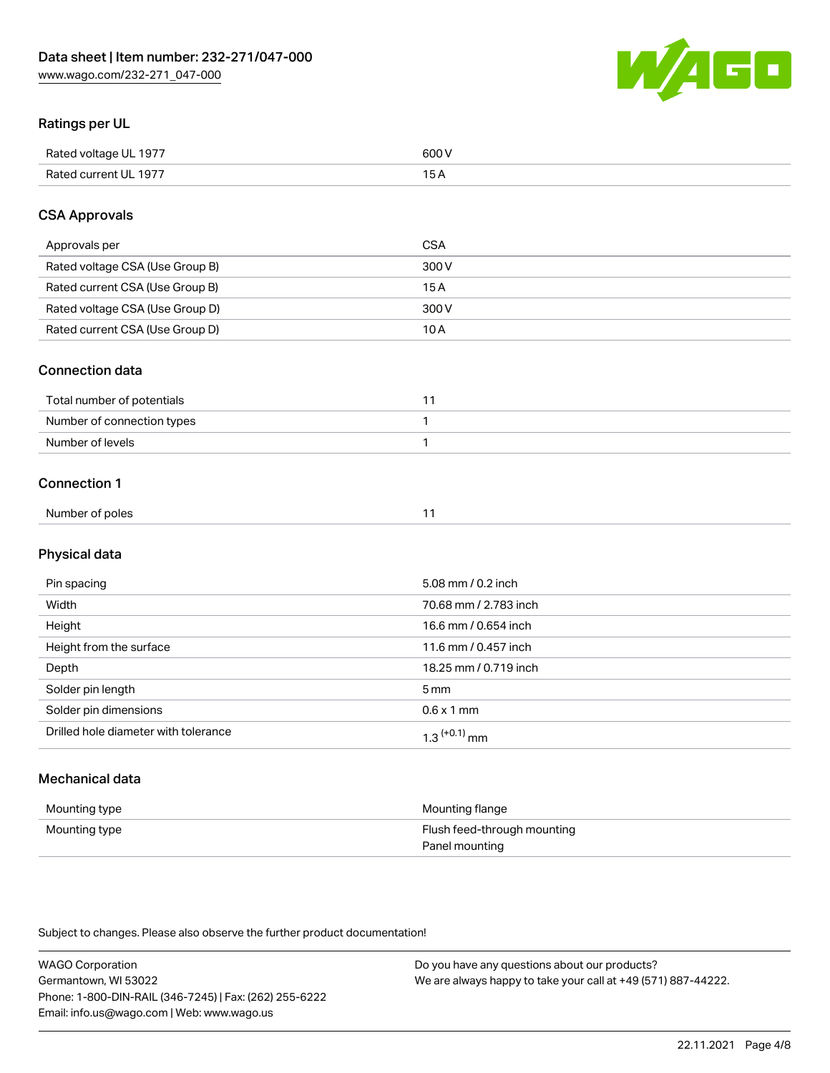WAGO

# Ratings per UL

| Rated voltage UL 1977 | soo v<br>วบบ<br>. |
|-----------------------|-------------------|
| Rated current UL 1977 | --                |
|                       | . J <i>r</i>      |

# CSA Approvals

| Approvals per                   | CSA   |
|---------------------------------|-------|
| Rated voltage CSA (Use Group B) | 300 V |
| Rated current CSA (Use Group B) | 15 A  |
| Rated voltage CSA (Use Group D) | 300 V |
| Rated current CSA (Use Group D) | 10 A  |

### Connection data

| Total number of potentials |  |
|----------------------------|--|
| Number of connection types |  |
| Number of levels           |  |

### Connection 1

| Number of poles | . . |
|-----------------|-----|
|                 |     |

# Physical data

| Pin spacing                          | 5.08 mm / 0.2 inch         |
|--------------------------------------|----------------------------|
| Width                                | 70.68 mm / 2.783 inch      |
| Height                               | 16.6 mm / 0.654 inch       |
| Height from the surface              | 11.6 mm / 0.457 inch       |
| Depth                                | 18.25 mm / 0.719 inch      |
| Solder pin length                    | $5 \,\mathrm{mm}$          |
| Solder pin dimensions                | $0.6 \times 1$ mm          |
| Drilled hole diameter with tolerance | $1.3$ <sup>(+0.1)</sup> mm |

# Mechanical data

| Mounting type | Mounting flange             |
|---------------|-----------------------------|
| Mounting type | Flush feed-through mounting |
|               | Panel mounting              |

Subject to changes. Please also observe the further product documentation!

| <b>WAGO Corporation</b>                                | Do you have any questions about our products?                 |
|--------------------------------------------------------|---------------------------------------------------------------|
| Germantown, WI 53022                                   | We are always happy to take your call at +49 (571) 887-44222. |
| Phone: 1-800-DIN-RAIL (346-7245)   Fax: (262) 255-6222 |                                                               |
| Email: info.us@wago.com   Web: www.wago.us             |                                                               |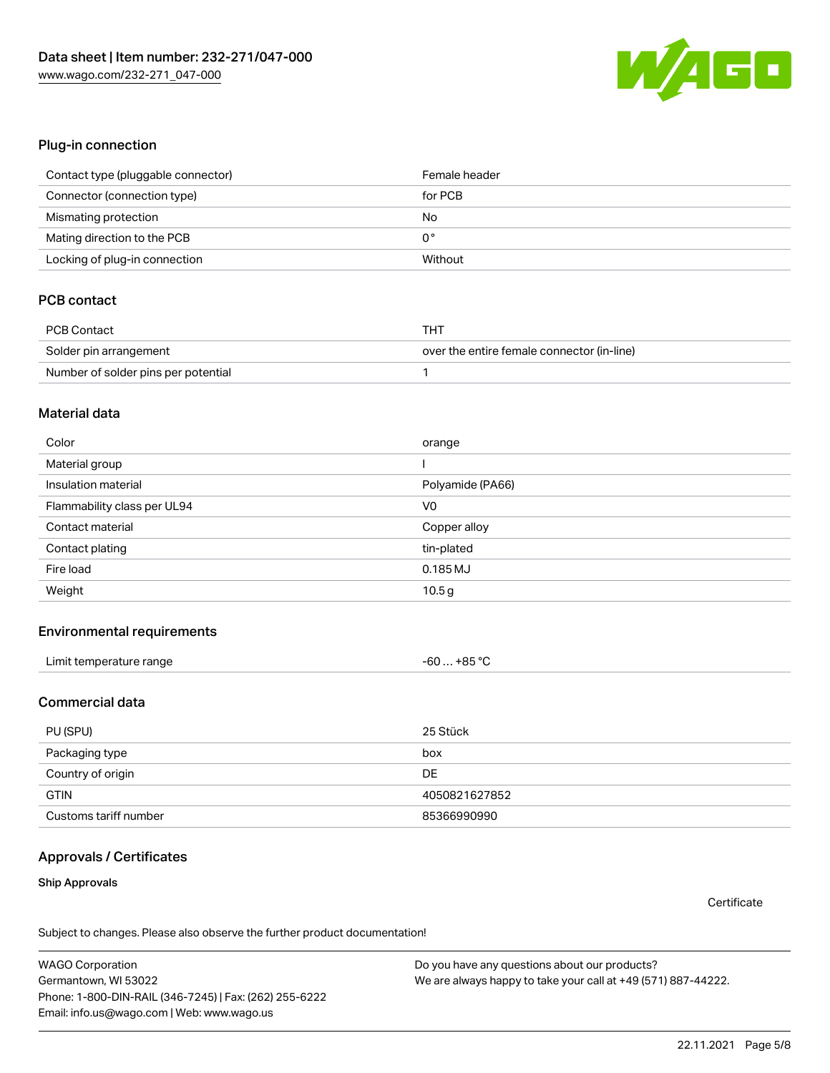

#### Plug-in connection

| Contact type (pluggable connector) | Female header |
|------------------------------------|---------------|
| Connector (connection type)        | for PCB       |
| Mismating protection               | No            |
| Mating direction to the PCB        | 0°            |
| Locking of plug-in connection      | Without       |

# PCB contact

| PCB Contact                         | THT                                        |
|-------------------------------------|--------------------------------------------|
| Solder pin arrangement              | over the entire female connector (in-line) |
| Number of solder pins per potential |                                            |

#### Material data

| Color                       | orange           |
|-----------------------------|------------------|
| Material group              |                  |
| Insulation material         | Polyamide (PA66) |
| Flammability class per UL94 | V <sub>0</sub>   |
|                             |                  |
| Contact material            | Copper alloy     |
| Contact plating             | tin-plated       |
| Fire load                   | 0.185 MJ         |

#### Environmental requirements

### Commercial data

| PU (SPU)              | 25 Stück      |
|-----------------------|---------------|
| Packaging type        | box           |
| Country of origin     | DE.           |
| <b>GTIN</b>           | 4050821627852 |
| Customs tariff number | 85366990990   |

# Approvals / Certificates

#### Ship Approvals

**Certificate** 

Subject to changes. Please also observe the further product documentation!

WAGO Corporation Germantown, WI 53022 Phone: 1-800-DIN-RAIL (346-7245) | Fax: (262) 255-6222 Email: info.us@wago.com | Web: www.wago.us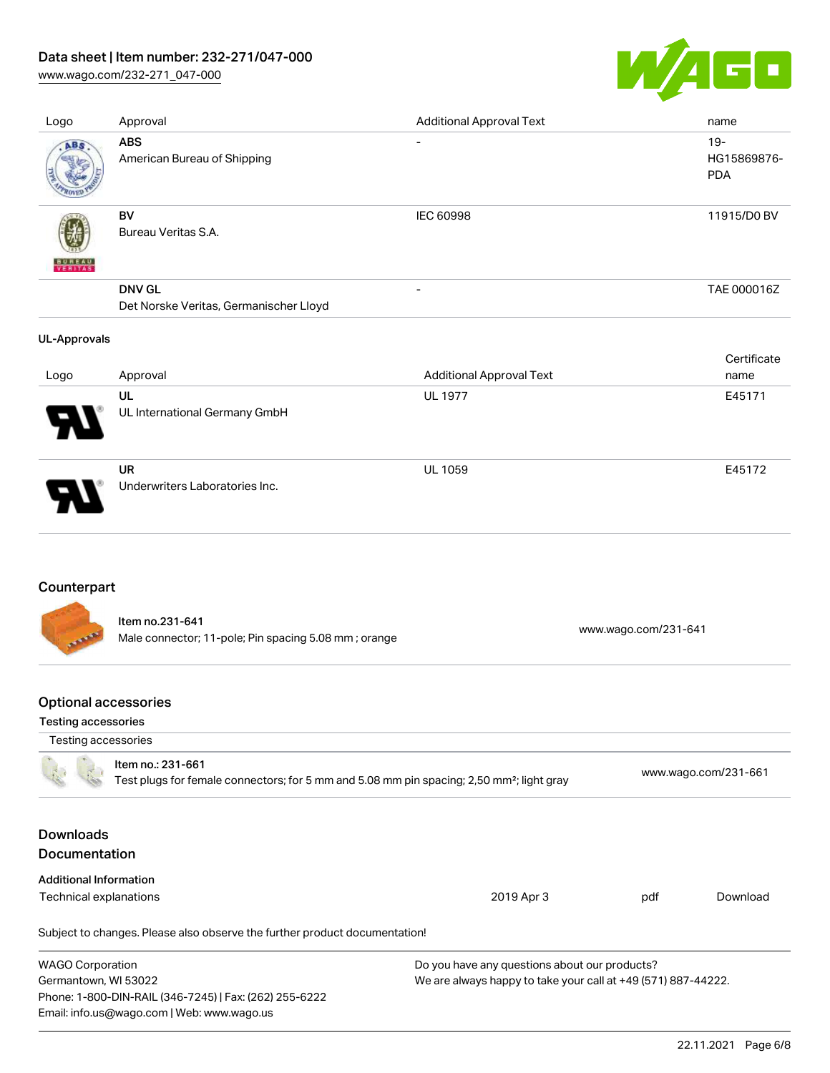# Data sheet | Item number: 232-271/047-000

[www.wago.com/232-271\\_047-000](http://www.wago.com/232-271_047-000)



| Logo                | Approval                                                | <b>Additional Approval Text</b> | name                                |
|---------------------|---------------------------------------------------------|---------------------------------|-------------------------------------|
| ABS                 | <b>ABS</b><br>American Bureau of Shipping               | $\overline{\phantom{a}}$        | $19 -$<br>HG15869876-<br><b>PDA</b> |
| <b>BUNEAU</b>       | BV<br>Bureau Veritas S.A.                               | IEC 60998                       | 11915/D0 BV                         |
|                     | <b>DNV GL</b><br>Det Norske Veritas, Germanischer Lloyd | $\overline{\phantom{a}}$        | TAE 000016Z                         |
| <b>UL-Approvals</b> |                                                         |                                 |                                     |
| Logo                |                                                         |                                 | Certificate                         |
|                     | Approval                                                | <b>Additional Approval Text</b> | name                                |
|                     | UL<br>UL International Germany GmbH                     | <b>UL 1977</b>                  | E45171                              |

# Counterpart

Item no.231-641 Male connector; 11-pole; Pin spacing 5.08 mm ; orange [www.wago.com/231-641](https://www.wago.com/231-641)

# Optional accessories

Email: info.us@wago.com | Web: www.wago.us

#### Testing accessories

| Testing accessories                                                                                                        |                                                                            |                                                               |                      |          |
|----------------------------------------------------------------------------------------------------------------------------|----------------------------------------------------------------------------|---------------------------------------------------------------|----------------------|----------|
| Item no.: 231-661<br>Test plugs for female connectors; for 5 mm and 5.08 mm pin spacing; 2,50 mm <sup>2</sup> ; light gray |                                                                            |                                                               | www.wago.com/231-661 |          |
| <b>Downloads</b><br><b>Documentation</b>                                                                                   |                                                                            |                                                               |                      |          |
| <b>Additional Information</b>                                                                                              |                                                                            |                                                               |                      |          |
| Technical explanations                                                                                                     |                                                                            | 2019 Apr 3                                                    | pdf                  | Download |
|                                                                                                                            | Subject to changes. Please also observe the further product documentation! |                                                               |                      |          |
| <b>WAGO Corporation</b>                                                                                                    |                                                                            | Do you have any questions about our products?                 |                      |          |
| Germantown, WI 53022                                                                                                       |                                                                            | We are always happy to take your call at +49 (571) 887-44222. |                      |          |
|                                                                                                                            | Phone: 1-800-DIN-RAIL (346-7245)   Fax: (262) 255-6222                     |                                                               |                      |          |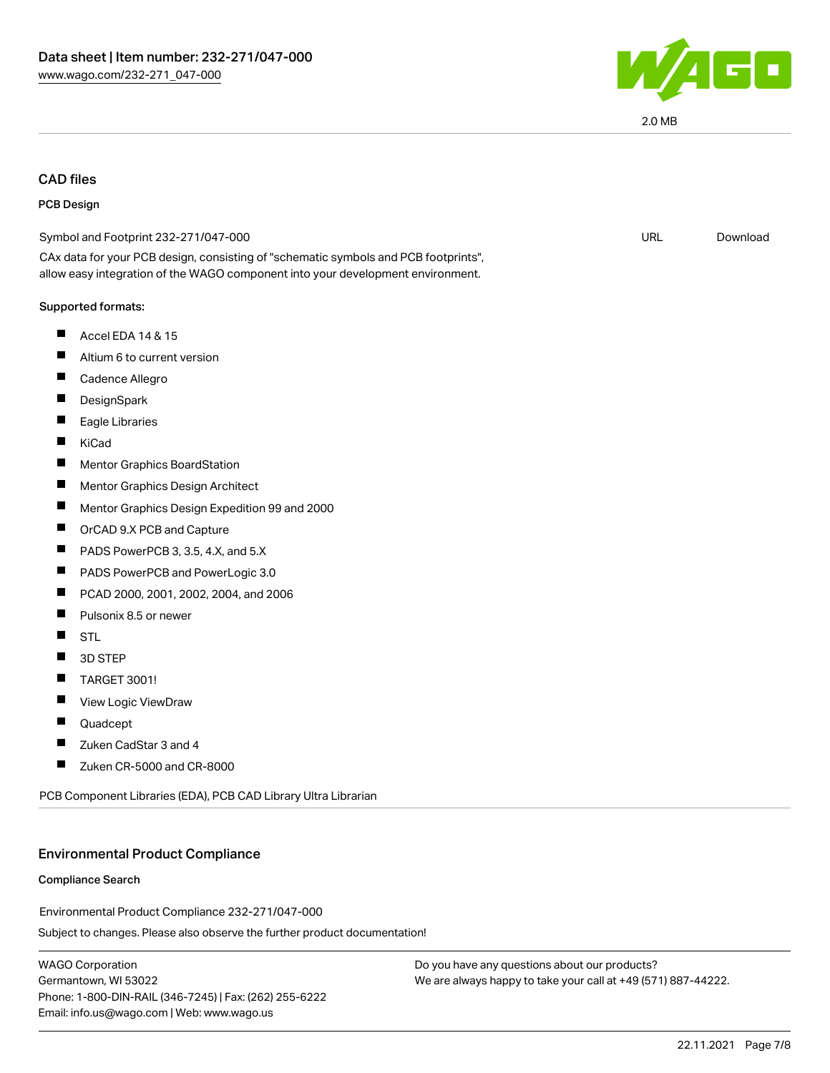

# CAD files

#### PCB Design

| Symbol and Footprint 232-271/047-000                                                                                                                                   | <b>URL</b> | Download |
|------------------------------------------------------------------------------------------------------------------------------------------------------------------------|------------|----------|
| CAx data for your PCB design, consisting of "schematic symbols and PCB footprints",<br>allow easy integration of the WAGO component into your development environment. |            |          |
| Supported formats:                                                                                                                                                     |            |          |
| H.<br>Accel EDA 14 & 15                                                                                                                                                |            |          |
| Altium 6 to current version<br>H                                                                                                                                       |            |          |
| П<br>Cadence Allegro                                                                                                                                                   |            |          |
| DesignSpark                                                                                                                                                            |            |          |
| Eagle Libraries                                                                                                                                                        |            |          |
| ш<br>KiCad                                                                                                                                                             |            |          |
| Mentor Graphics BoardStation                                                                                                                                           |            |          |
| П<br>Mentor Graphics Design Architect                                                                                                                                  |            |          |
| Mentor Graphics Design Expedition 99 and 2000                                                                                                                          |            |          |
| П<br>OrCAD 9.X PCB and Capture                                                                                                                                         |            |          |
| PADS PowerPCB 3, 3.5, 4.X, and 5.X<br>H                                                                                                                                |            |          |
| PADS PowerPCB and PowerLogic 3.0<br>Ш                                                                                                                                  |            |          |
| PCAD 2000, 2001, 2002, 2004, and 2006<br>Ш                                                                                                                             |            |          |
| Pulsonix 8.5 or newer<br>$\blacksquare$                                                                                                                                |            |          |
| ш<br><b>STL</b>                                                                                                                                                        |            |          |
| 3D STEP                                                                                                                                                                |            |          |
| <b>TARGET 3001!</b>                                                                                                                                                    |            |          |
| View Logic ViewDraw                                                                                                                                                    |            |          |
| Ш<br>Quadcept                                                                                                                                                          |            |          |
| Zuken CadStar 3 and 4                                                                                                                                                  |            |          |
| Zuken CR-5000 and CR-8000                                                                                                                                              |            |          |
|                                                                                                                                                                        |            |          |

PCB Component Libraries (EDA), PCB CAD Library Ultra Librarian

#### Environmental Product Compliance

#### Compliance Search

Environmental Product Compliance 232-271/047-000

Subject to changes. Please also observe the further product documentation!

WAGO Corporation Germantown, WI 53022 Phone: 1-800-DIN-RAIL (346-7245) | Fax: (262) 255-6222 Email: info.us@wago.com | Web: www.wago.us